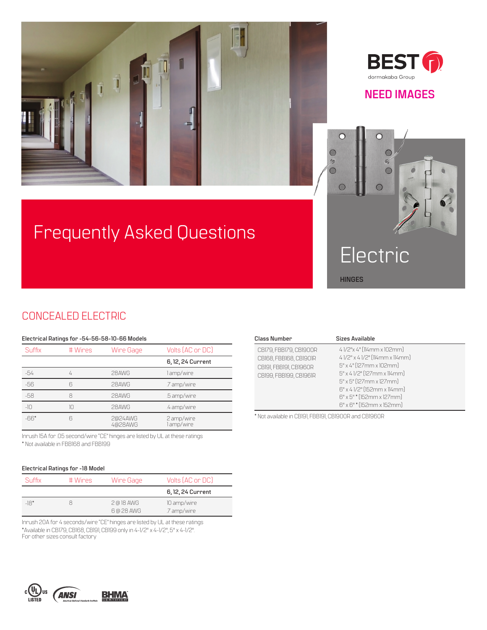



### **NEED IMAGES**

# Frequently Asked Questions



## CONCEALED ELECTRIC

#### **Electrical Ratings for -54-56-58-10-66 Models**

| Suffix | # Wires | Wire Gage          | Volts (AC or DC)         |
|--------|---------|--------------------|--------------------------|
|        |         |                    | 6, 12, 24 Current        |
| -54    | 4       | 28AWG              | l amp/wire               |
| -56    | ĥ       | 28AWG              | .7 amp/wire              |
| $-58$  | 8       | 28AWG              | .5 amp/wire              |
| $-10$  | 10      | 28AWG              | .4 amp/wire              |
| $-66*$ | R       | 2@24AWG<br>4@28AWG | 2 amp/wire<br>l amp/wire |

Inrush 15A for .05 second/wire "CE" hinges are listed by UL at these ratings \* Not available in FBB168 and FBB199

#### **Electrical Ratings for -18 Model**

| Suffix | # Wires | Wire Gage                | Volts (AC or DC)           |
|--------|---------|--------------------------|----------------------------|
|        |         |                          | 6, 12, 24 Current          |
| $-18*$ |         | 2 @ 18 AWG<br>6 @ 28 AWG | 10 amp/wire<br>.7 amp/wire |

Inrush 20A for 4 seconds/wire "CE" hinges are listed by UL at these ratings \*Available in CB179, CB168, CB191, CB199 only in 4-1/2" x 4-1/2", 5" x 4-1/2". For other sizes consult factory

| <b>Class Number</b>                                                                                  | <b>Sizes Available</b>                                                                                                                                                                                                                             |  |
|------------------------------------------------------------------------------------------------------|----------------------------------------------------------------------------------------------------------------------------------------------------------------------------------------------------------------------------------------------------|--|
| CB179, FBB179, CB1900R<br>CB168, FBB168, CB1901R<br>CBI91, FBBI91, CBI96OR<br>CB199, FBB199, CB1961R | 4 1/2"x 4" [114mm x 102mm]<br>4 1/2" x 4 1/2" (114mm x 114mm)<br>5" x 4" [127mm x 102mm]<br>5" x 4 1/2" (127mm x 114mm)<br>5" x 5" (127mm x 127mm)<br>6" x 4 1/2" (152mm x 114mm)<br>$6" \times 5"$ * [152mm x 127mm]<br>6" x 6" * (152mm x 152mm) |  |
| $\ast \circ \cdot \cdot \cdot \cdot \cdot$ and fand and an $\circ$ is an $\circ$                     |                                                                                                                                                                                                                                                    |  |

\* Not available in CB191, FBB191, CB1900R and CB1960R